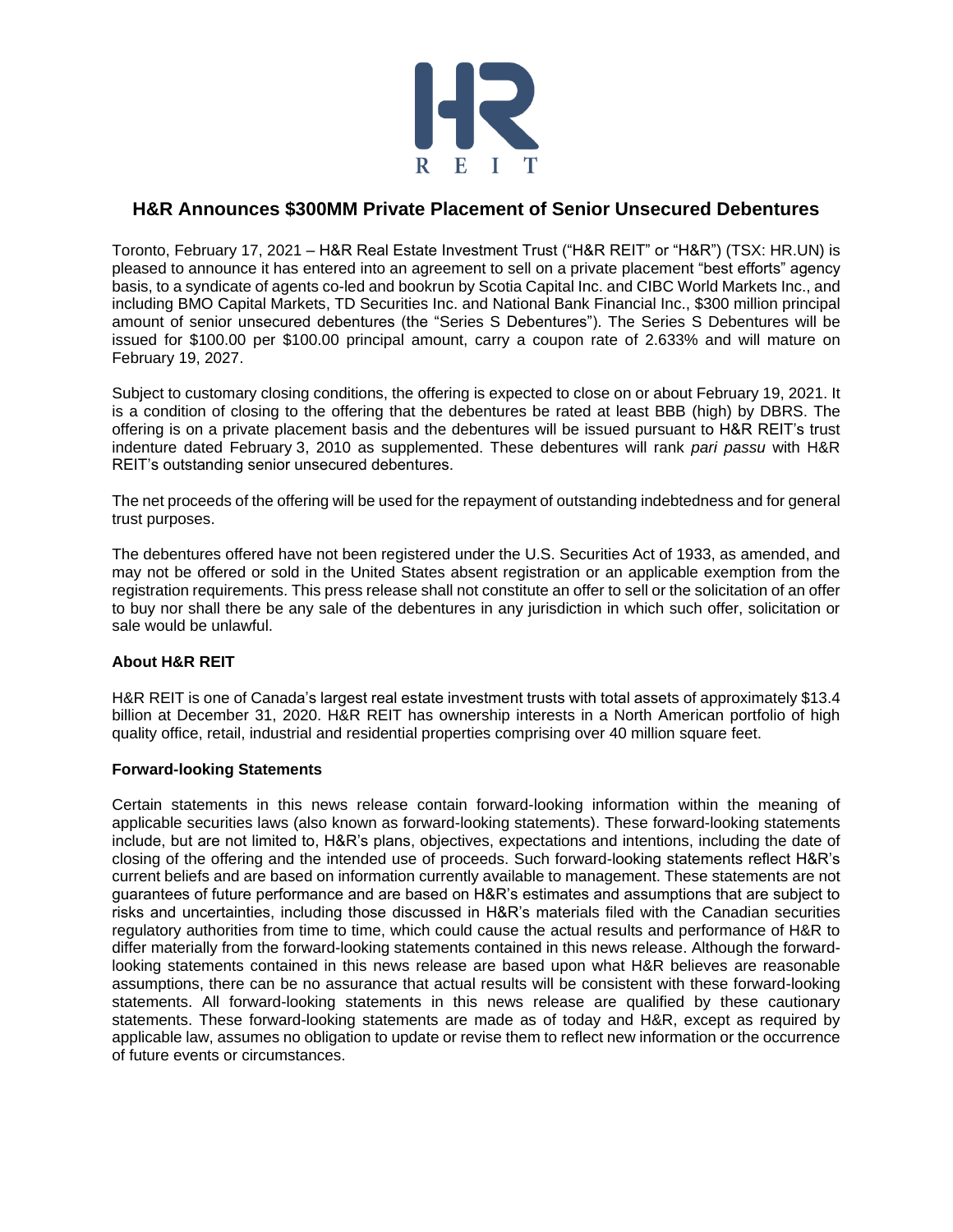

## **H&R Announces \$300MM Private Placement of Senior Unsecured Debentures**

Toronto, February 17, 2021 – H&R Real Estate Investment Trust ("H&R REIT" or "H&R") (TSX: HR.UN) is pleased to announce it has entered into an agreement to sell on a private placement "best efforts" agency basis, to a syndicate of agents co-led and bookrun by Scotia Capital Inc. and CIBC World Markets Inc., and including BMO Capital Markets, TD Securities Inc. and National Bank Financial Inc., \$300 million principal amount of senior unsecured debentures (the "Series S Debentures"). The Series S Debentures will be issued for \$100.00 per \$100.00 principal amount, carry a coupon rate of 2.633% and will mature on February 19, 2027.

Subject to customary closing conditions, the offering is expected to close on or about February 19, 2021. It is a condition of closing to the offering that the debentures be rated at least BBB (high) by DBRS. The offering is on a private placement basis and the debentures will be issued pursuant to H&R REIT's trust indenture dated February 3, 2010 as supplemented. These debentures will rank *pari passu* with H&R REIT's outstanding senior unsecured debentures.

The net proceeds of the offering will be used for the repayment of outstanding indebtedness and for general trust purposes.

The debentures offered have not been registered under the U.S. Securities Act of 1933, as amended, and may not be offered or sold in the United States absent registration or an applicable exemption from the registration requirements. This press release shall not constitute an offer to sell or the solicitation of an offer to buy nor shall there be any sale of the debentures in any jurisdiction in which such offer, solicitation or sale would be unlawful.

## **About H&R REIT**

H&R REIT is one of Canada's largest real estate investment trusts with total assets of approximately \$13.4 billion at December 31, 2020. H&R REIT has ownership interests in a North American portfolio of high quality office, retail, industrial and residential properties comprising over 40 million square feet.

## **Forward-looking Statements**

Certain statements in this news release contain forward-looking information within the meaning of applicable securities laws (also known as forward-looking statements). These forward-looking statements include, but are not limited to, H&R's plans, objectives, expectations and intentions, including the date of closing of the offering and the intended use of proceeds. Such forward-looking statements reflect H&R's current beliefs and are based on information currently available to management. These statements are not guarantees of future performance and are based on H&R's estimates and assumptions that are subject to risks and uncertainties, including those discussed in H&R's materials filed with the Canadian securities regulatory authorities from time to time, which could cause the actual results and performance of H&R to differ materially from the forward-looking statements contained in this news release. Although the forwardlooking statements contained in this news release are based upon what H&R believes are reasonable assumptions, there can be no assurance that actual results will be consistent with these forward-looking statements. All forward-looking statements in this news release are qualified by these cautionary statements. These forward-looking statements are made as of today and H&R, except as required by applicable law, assumes no obligation to update or revise them to reflect new information or the occurrence of future events or circumstances.